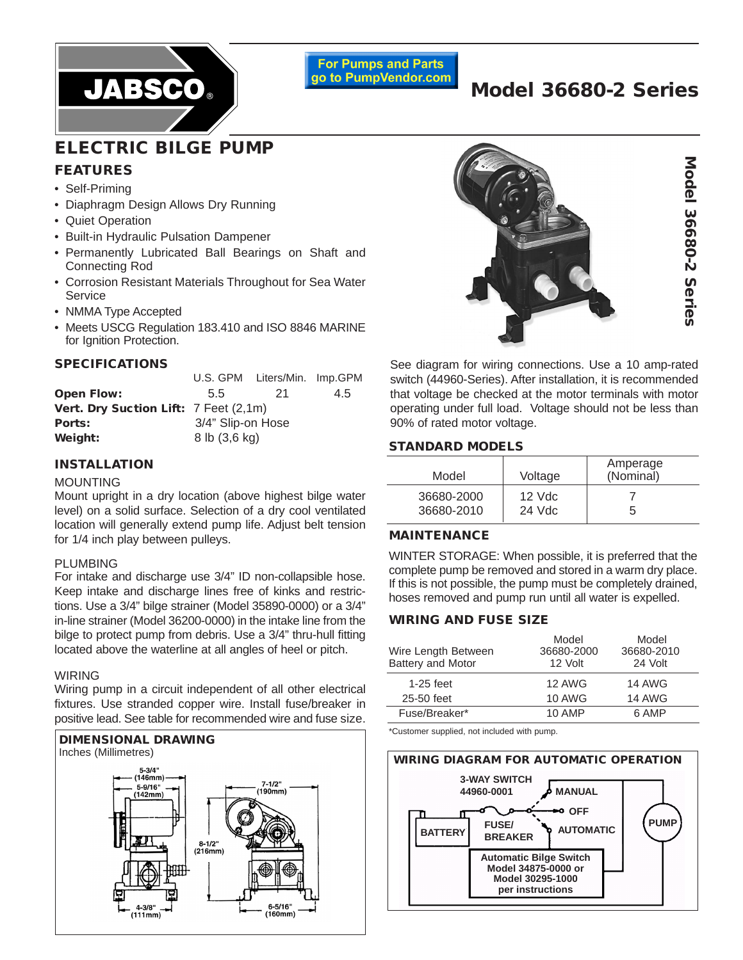

**For Pumps and Parts** go to PumpVendor.com

# **Model 36680-2 Series**

# **ELECTRIC BILGE PUMP FEATURES**

- Self-Priming
- Diaphragm Design Allows Dry Running
- Quiet Operation
- Built-in Hydraulic Pulsation Dampener
- Permanently Lubricated Ball Bearings on Shaft and Connecting Rod
- Corrosion Resistant Materials Throughout for Sea Water Service
- NMMA Type Accepted
- Meets USCG Regulation 183.410 and ISO 8846 MARINE for Ignition Protection.

#### **SPECIFICATIONS**

|                                       |                   | U.S. GPM Liters/Min. Imp.GPM |     |
|---------------------------------------|-------------------|------------------------------|-----|
| <b>Open Flow:</b>                     | 55                | 21                           | 4.5 |
| Vert. Dry Suction Lift: 7 Feet (2,1m) |                   |                              |     |
| Ports:                                | 3/4" Slip-on Hose |                              |     |
| Weight:                               | 8 lb (3,6 kg)     |                              |     |

### **INSTALLATION**

#### MOUNTING

Mount upright in a dry location (above highest bilge water level) on a solid surface. Selection of a dry cool ventilated location will generally extend pump life. Adjust belt tension for 1/4 inch play between pulleys.

#### PLUMBING

For intake and discharge use 3/4" ID non-collapsible hose. Keep intake and discharge lines free of kinks and restrictions. Use a 3/4" bilge strainer (Model 35890-0000) or a 3/4" in-line strainer (Model 36200-0000) in the intake line from the bilge to protect pump from debris. Use a 3/4" thru-hull fitting located above the waterline at all angles of heel or pitch.

#### WIRING

Wiring pump in a circuit independent of all other electrical fixtures. Use stranded copper wire. Install fuse/breaker in positive lead. See table for recommended wire and fuse size.





See diagram for wiring connections. Use a 10 amp-rated switch (44960-Series). After installation, it is recommended that voltage be checked at the motor terminals with motor operating under full load. Voltage should not be less than 90% of rated motor voltage.

# **STANDARD MODELS**

| Model      | Voltage  | Amperage<br>(Nominal) |
|------------|----------|-----------------------|
| 36680-2000 | $12$ Vdc |                       |
| 36680-2010 | 24 Vdc   |                       |

#### **MAINTENANCE**

WINTER STORAGE: When possible, it is preferred that the complete pump be removed and stored in a warm dry place. If this is not possible, the pump must be completely drained, hoses removed and pump run until all water is expelled.

# **WIRING AND FUSE SIZE**

| Wire Length Between<br>Battery and Motor | Model<br>36680-2000<br>12 Volt | Model<br>36680-2010<br>24 Volt |
|------------------------------------------|--------------------------------|--------------------------------|
| $1-25$ feet                              | 12 AWG                         | <b>14 AWG</b>                  |
| 25-50 feet                               | <b>10 AWG</b>                  | <b>14 AWG</b>                  |
| Fuse/Breaker*                            | <b>10 AMP</b>                  | 6 AMP                          |

\*Customer supplied, not included with pump.